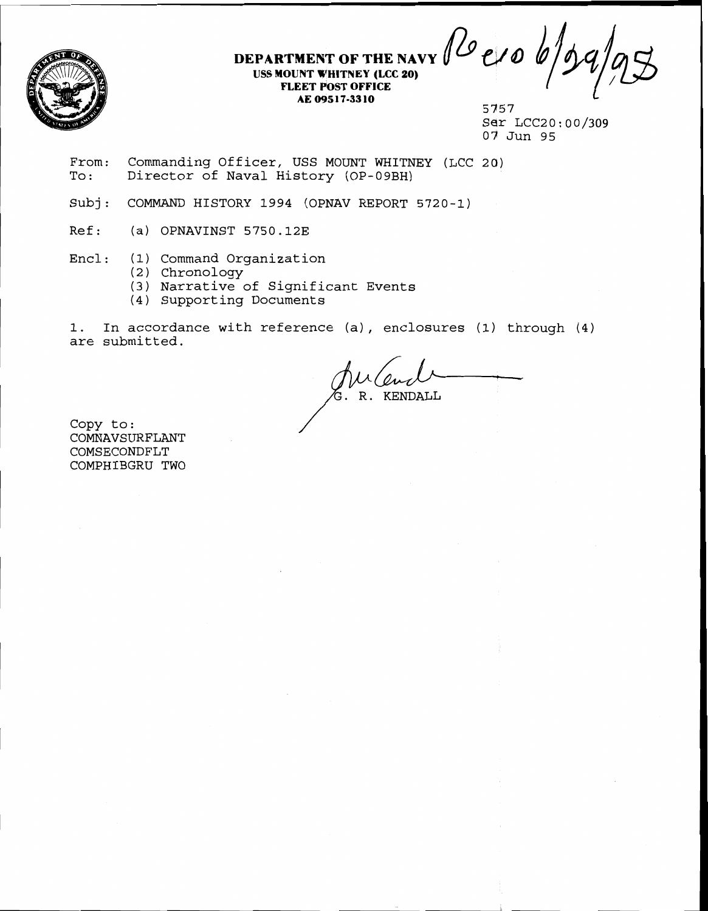

**USS MOUNT WHITNEY (LCC 20) FLEET POST OFFICE<br>AE 09517-3310** 

**DEPARTMENT OF THE NAVY**  $\bigotimes$  $e$  **/**  $\emptyset$  $\overline{\phantom{a}}$ 

5757 Ser LCC20 : 00/309 03 Jun 95

From: Commanding Officer, USS MOUNT WHITNEY (LCC 20) To: Director of Naval History (OP-09BH)

Subj: COMMAND HISTORY 1994 (OPNAV REPORT 5720-1)

Ref: (a) OPNAVINST 5750.12E

Encl: **(1)** Command Organization

- ( 2 ) Chronology
- **(3)** Narrative of Significant Events
- **(4)** Supporting Documents

1. In accordance with reference (a) , enclosures (1) through (4) are submitted.

G. R. KENDALL

Copy to : COMNAVSURFLANT COMSECONDFLT COMPHIBGRU TWO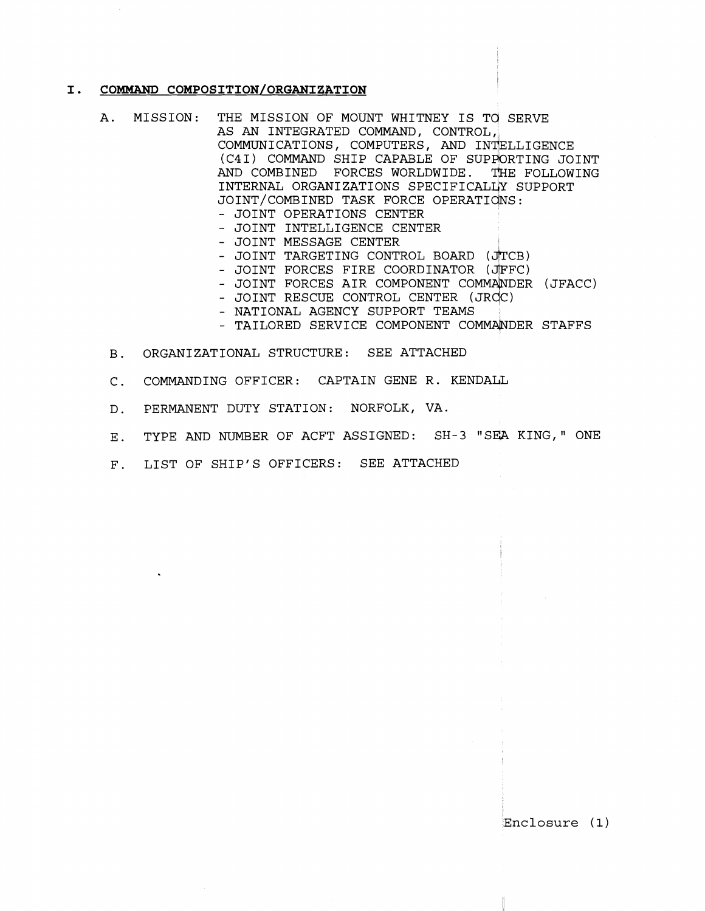## I. COMMAND COMPOSITION/ORGANIZATION

- A. MISSION: THE MISSION OF MOUNT WHITNEY IS TO SERVE AS AN INTEGRATED COMMAND, CONTROL, COMMUNICATIONS, COMPUTERS, AND INTELLIGENCE (C4I) COMMAND SHIP CAPABLE OF SUPPORTING JOINT AND COMBINED FORCES WORLDWIDE. THE FOLLOWING INTERNAL ORGANIZATIONS SPECIFICALLY SUPPORT<br>JOINT/COMBINED TASK FORCE OPERATIONS: JOINT/COMBINED TASK FORCE OPERATIONS:<br>- JOINT OPERATIONS CENTER<br>- JOINT INTELLIGENCE CENTER<br>- JOINT MESSAGE CENTER<br>- JOINT TARGETING CONTROL BOARD (JTCB)<br>- JOINT FORCES FIRE COORDINATOR (JFFC)<br>- JOINT FORCES AIR COMPONENT
	-
	-
	-
	-
	-
	-
	-
	-
	-
	- B. ORGANIZATIONAL STRUCTURE: SEE ATTACHED
	- C. COMMANDING OFFICER: CAPTAIN GENE R. KENDALL
	- D. PERMANENT DUTY STATION: NORFOLK, VA.
	- E. TYPE AND NUMBER OF ACFT ASSIGNED: SH-3 "SEA KING," ONE
	- F. LIST OF SHIP'S OFFICERS: SEE ATTACHED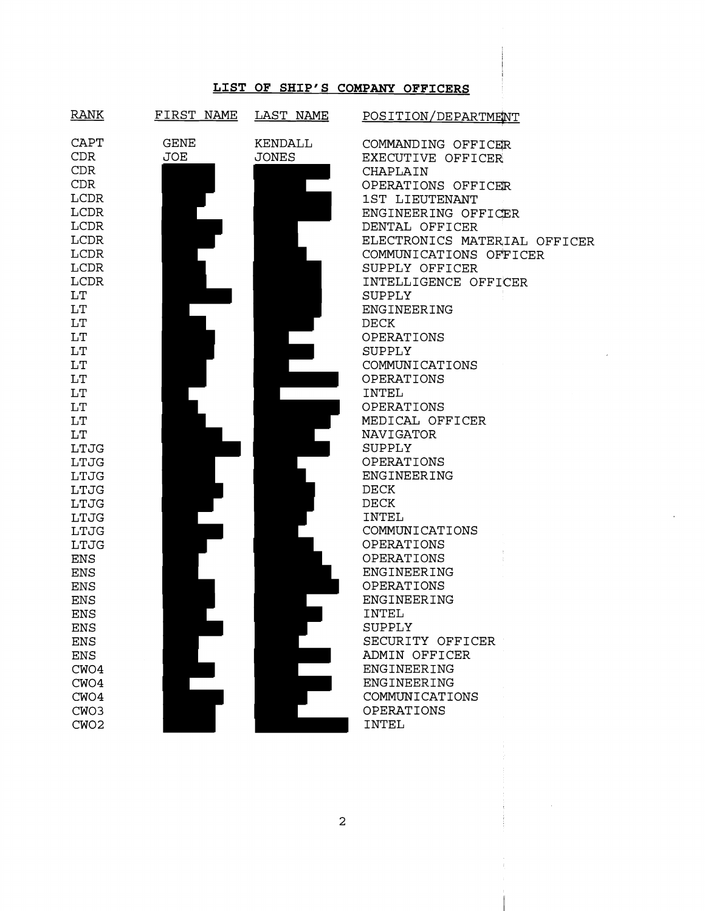# **LIST OF SHIP'S COMPANY OFFICERS**

| <b>RANK</b>                                                                                                                                                                                                                                                                                                                                                                                               | FIRST NAME                | LAST NAME               | POSITION/DEPARTMENT                                                                                                                                                                                                                                                                                                                                                                                                                                                                                                                                                                                                                                                             |
|-----------------------------------------------------------------------------------------------------------------------------------------------------------------------------------------------------------------------------------------------------------------------------------------------------------------------------------------------------------------------------------------------------------|---------------------------|-------------------------|---------------------------------------------------------------------------------------------------------------------------------------------------------------------------------------------------------------------------------------------------------------------------------------------------------------------------------------------------------------------------------------------------------------------------------------------------------------------------------------------------------------------------------------------------------------------------------------------------------------------------------------------------------------------------------|
| <b>CAPT</b><br><b>CDR</b><br>CDR<br>CDR<br>LCDR<br>LCDR<br>LCDR<br>LCDR<br>LCDR<br>LCDR<br>LCDR<br>LT<br>$\mathop{\rm LT}\nolimits$<br>$\mathop{\rm LT}\nolimits$<br>LT<br>LT<br>LT<br>LT<br>LT<br>LT<br>LT<br>LT<br>LTJG<br>LTJG<br>LTJG<br>LTJG<br>LTJG<br>LTJG<br>LTJG<br>LTJG<br>ENS<br>ENS<br>ENS<br>ENS<br><b>ENS</b><br>ENS<br>ENS<br><b>ENS</b><br>CW <sub>O</sub> 4<br>CW <sub>O</sub> 4<br>CWO4 | <b>GENE</b><br><b>JOE</b> | KENDALL<br><b>JONES</b> | COMMANDING OFFICER<br>EXECUTIVE OFFICER<br>CHAPLAIN<br>OPERATIONS OFFICER<br>1ST LIEUTENANT<br>ENGINEERING OFFICER<br>DENTAL OFFICER<br>ELECTRONICS MATERIAL OFFICER<br>COMMUNICATIONS OFFICER<br>SUPPLY OFFICER<br>INTELLIGENCE OFFICER<br><b>SUPPLY</b><br>ENGINEERING<br><b>DECK</b><br>OPERATIONS<br>SUPPLY<br>COMMUNICATIONS<br>OPERATIONS<br>INTEL<br>OPERATIONS<br>MEDICAL OFFICER<br>NAVIGATOR<br>SUPPLY<br>OPERATIONS<br>ENGINEERING<br>DECK<br>DECK<br>INTEL<br>COMMUNICATIONS<br>OPERATIONS<br>OPERATIONS<br>ENGINEERING<br>OPERATIONS<br>ENGINEERING<br><b>INTEL</b><br>SUPPLY<br>SECURITY OFFICER<br>ADMIN OFFICER<br>ENGINEERING<br>ENGINEERING<br>COMMUNICATIONS |
| CWO <sub>3</sub><br>CWO2                                                                                                                                                                                                                                                                                                                                                                                  |                           |                         | OPERATIONS<br><b>INTEL</b>                                                                                                                                                                                                                                                                                                                                                                                                                                                                                                                                                                                                                                                      |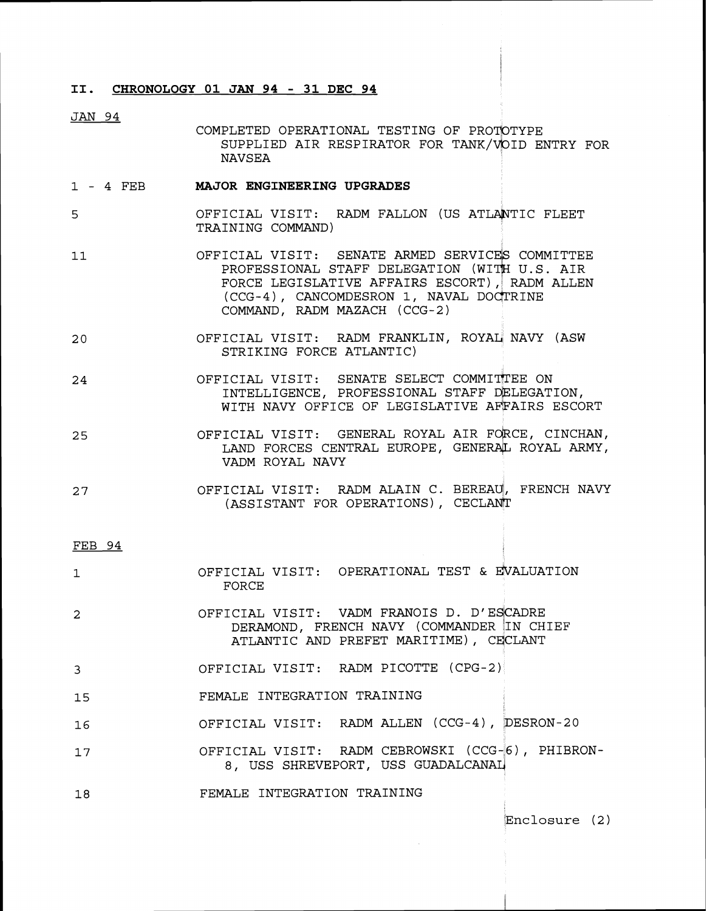## **11. CHRONOLOGY 01 JAN 94** - **31 DEC 94**

JAN 94

COMPLETED OPERATIONAL TESTING OF PROTOTYPE SUPPLIED AIR RESPIRATOR FOR TANK/VOID ENTRY FOR NAVSEA

#### 1 - 4 FEB **MAJOR ENGINEERING UPGRADES**

- $5 -$ OFFICIAL VISIT: RADM FALLON (US ATLANTIC FLEET TRAINING COMMAND)
- OFFICIAL VISIT: SENATE ARMED SERVICES COMMITTEE<br>PROFESSIONAL STAFF DELEGATION (WITH U.S. AIR<br>FORCE LECISLATIVE AFFAIRS ESCORT) PADM ALLEN  $11$ FORCE LEGISLATIVE AFFAIRS ESCORT), RADM ALLEN  $(CCG-4)$ , CANCOMDESRON 1, NAVAL DOCTRINE COMMAND, RADM MAZACH (CCG-2 )
- OFFICIAL VISIT: RADM FRANKLIN, ROYAL NAVY (ASW 20 STRIKING FORCE ATLANTIC)
- OFFICIAL VISIT: SENATE SELECT COMMITTEE ON 24 INTELLIGENCE, PROFESSIONAL STAFF DELEGATION, WITH NAVY OFFICE OF LEGISLATIVE AFFAIRS ESCORT
- OFFICIAL VISIT: GENERAL ROYAL AIR FORCE, CINCHAN,  $25$ LAND FORCES CENTRAL EUROPE, GENERAL ROYAL ARMY, VADM ROYAL NAVY
- OFFICIAL VISIT: RADM ALAIN C. BEREAU, FRENCH NAVY  $27$ (ASSISTANT FOR OPERATIONS), CECLANT

#### FEB 94

- OFFICIAL VISIT: OPERATIONAL TEST & dVALuAT1oN  $\mathbf{1}$ FORCE
- OFFICIAL VISIT: VADM FRANOIS D. D'EqcADRE  $\overline{2}$ DERAMOND, FRENCH NAVY (COMMANDER IN CHIEF ATLANTIC AND PREFET MARITIME), CECLANT
- OFFICIAL VISIT: RADM PICOTTE (CPG-2)  $\overline{3}$
- FEMALE INTEGRATION TRAINING 15
- OFFICIAL VISIT: RADM ALLEN (CCG-4), DESRON-20  $16$
- OFFICIAL VISIT: RADM CEBROWSKI (CCG-6), PHIBRON- $17$ 8, USS SHREVEPORT, USS GUADALCANAL
- FEMALE INTEGRATION TRAINING  $18$

**Enclosure** (2)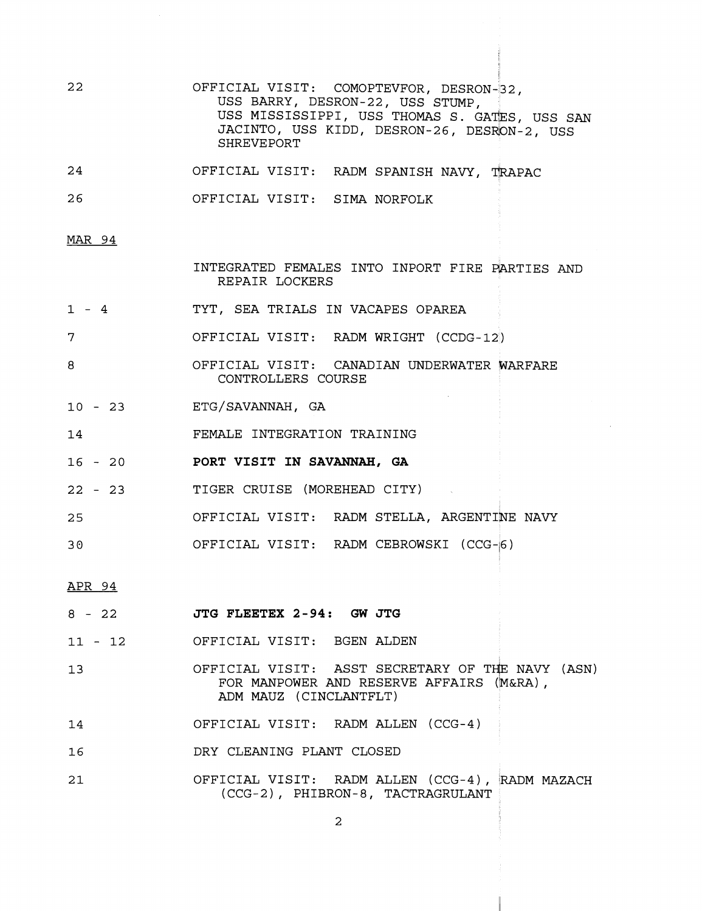- $22$ OFFICIAL VISIT: COMOPTEVFOR, DESRON-32, USS BARRY, DESRON-22, USS STUMP, USS MISSISSIPPI, USS THOMAS S. GATES, USS SAN JACINTO, USS KIDD, DESRON-26, DESRON-2, USS SHREVEPORT
- 24 OFFICIAL VISIT: RADM SPANISH NAVY, TRAPAC
- OFFICIAL VISIT: SIMA NORFOLK 26

#### **MAR 94**

INTEGRATED FEMALES INTO INPORT FIRE WRTIES AND REPAIR LOCKERS

 $\sim 10$ 

- $1 4$ TYT, SEA TRIALS IN VACAPES OPAREA
- $7\overline{ }$ OFFICIAL VISIT: RADM WRIGHT (CCDG-12)
- 8 OFFICIAL VISIT: CANADIAN UNDERWATER WARFARE CONTROLLERS COURSE
- $10 23$ ETG/SAVANNAH, GA
- $14$ FEMALE INTEGRATION TRAINING
- $16 20$ **PORT VISIT IN SAVANNAH, GA**
- TIGER CRUISE (MOREHEAD CITY)  $22 - 23$
- OFFICIAL VISIT: RADM STELLA, ARGENTINE NAVY 25
- OFFICIAL VISIT: RADM CEBROWSKI (CCG-16) 30

#### APR 94

- 8 22 **JTG FLEETEX 2-94: GW JTG**
- 11 12 OFFICIAL VISIT: BGEN ALDEN
- 13 OFFICIAL VISIT: ASST SECRETARY OF THE NAVY (ASN) FOR MANPOWER AND RESERVE AFFAIRS (H&RA), ADM MAUZ (CINCLANTFLT)
- OFFICIAL VISIT: RADM ALLEN (CCG-4)  $14$
- 16 DRY CLEANING PLANT CLOSED
- OFFICIAL VISIT: RADM ALLEN (CCG-4), RADM MAZACH  $21$ (CCG- 2) , PHIBRON- 8, TACTRAGRULANT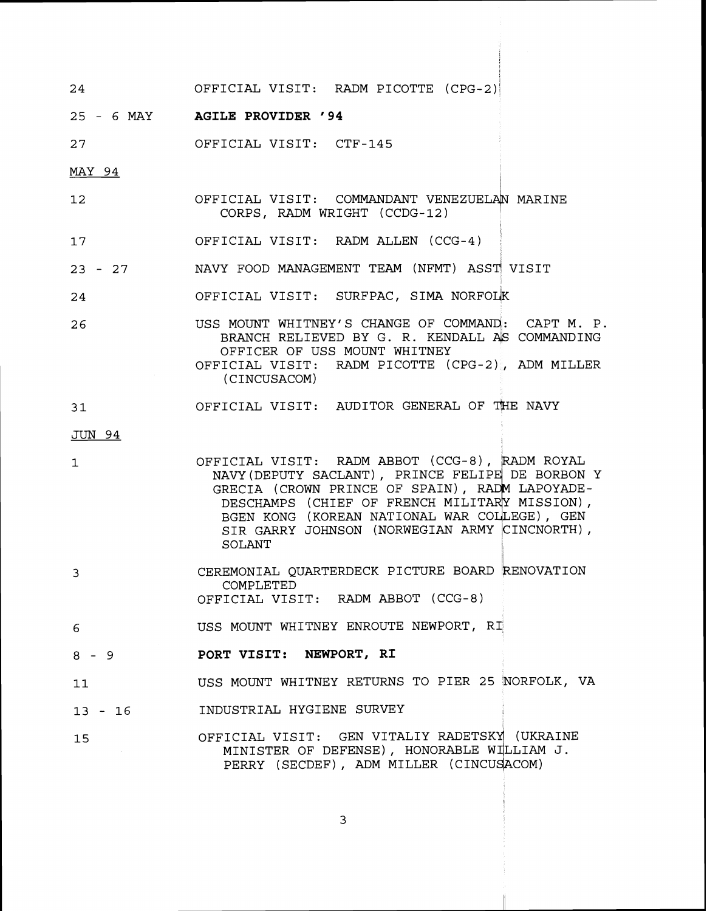#### 24 OFFICIAL VISIT: RADM PICOTTE (CPG-2);

#### 25 - 6 MAY **AGILE PROVIDER** '94

27 OFFICIAL VISIT: CTF-145

MAY 94

- 12 OFFICIAL VISIT: COMMANDANT VENEZUELAN MARINE CORPS, RADM WRIGHT (CCDG- 12 )
- 17 OFFICIAL VISIT: RADM ALLEN (CCG-4)
- 23 27 NAVY FOOD MANAGEMENT TEAM (NFMT) ASS^' VISIT
- 24 OFFICIAL VISIT: SURFPAC, SIMA NORFOLK
- USS MOUNT WHITNEY'S CHANGE OF COMMAND: CAPT M. P. 26 BRANCH RELIEVED BY G. R. KENDALL AS COMMAN OFFICER OF USS MOUNT WHITNEY OFFICIAL VISIT: RADM PICOTTE (CPG-2), ADM MILLER ( CINCUSACOM)

#### 3 1 OFFICIAL VISIT: AUDITOR GENERAL OF THE NAVY

#### JUN 94

- 1 OFFICIAL VISIT: RADM ABBOT (CCG-8), RADM ROYAL NAVY(DEPUTY SACLANT), PRINCE FELIPE DE BORBON Y<br>GRECIA (CROWN PRINCE OF SPAIN), RADM LAPOYADE-FICIAL VISIT: RADM ABBOT (CCG-8), RADM ROYAL<br>NAVY (DEPUTY SACLANT), PRINCE FELIPE DE BORBON )<br>GRECIA (CROWN PRINCE OF SPAIN), RADM LAPOYADE-<br>DESCHAMPS (CHIEF OF FRENCH MILITARY MISSION),<br>GEN KONG (KOREAN NATIONAL WAR COLLE DESCHAMPS (CHIEF OF FRENCH MILITAR<mark>Y MISSION),</mark> BGEN KONG (KOREAN NATIONAL WAR COLLEGE), GEN SIR GARRY JOHNSON (NORWEGIAN ARMY CINCNORTH), **SOLANT**
- CEREMONIAL QUARTERDECK PICTURE BOARD RENOVATION  $\overline{3}$ COMPLETED OFFICIAL VISIT: RADM ABBOT (CCG-8)
- USS MOUNT WHITNEY ENROUTE NEWPORT, RI 6
- PORT VISIT: NEWPORT, RI  $8 - 9$
- USS MOUNT WHITNEY RETURNS TO PIER 25 NORFOLK, VA  $11$
- 13 16 INDUSTRIAL HYGIENE SURVEY
- OFFICIAL VISIT: GEN VITALIY RADETSKY (UKRAINE  $15$ MINISTER OF DEFENSE), HONORABLE WILLIAM J. PERRY (SECDEF), ADM MILLER (CINCUSACOM)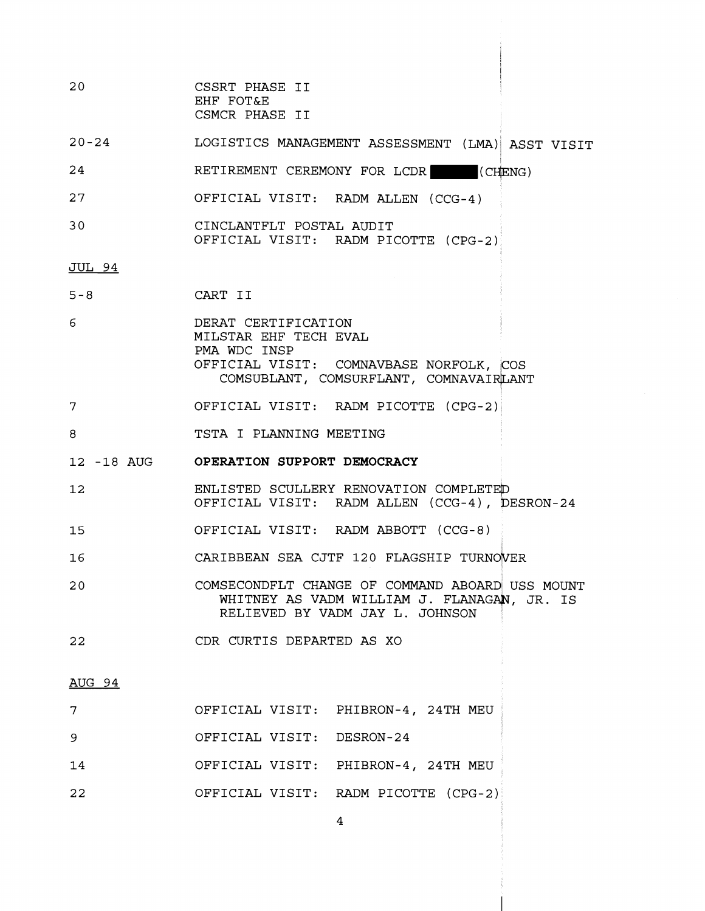- 20 CSSRT PHASE I1 EHF FOT&E CSMCR PHASE I1
- LOGISTICS MANAGEMENT ASSESSMENT (LMA) ASST VISIT  $20 - 24$
- RETIREMENT CEREMONY FOR LCDR (CHENG) 24
- 27 OFFICIAL VISIT: RADM ALLEN (CCG-4)
- $30<sub>o</sub>$ CINCLANTFLT POSTAL AUDIT OFFICIAL VISIT: RADM PICOTTE (CPG-2)
- JUL 94
- $5 8$ CART I1
- $6^{\circ}$ DERAT CERTIFICATION MILSTAR EHF TECH EVAL PMA WDC INSP OFFICIAL VISIT: COMNAVBASE NORFOLK, COS COMSUBLANT, COMSURFLANT, COMNAVAIRLANT
- $7<sup>1</sup>$ OFFICIAL VISIT: RADM PICOTTE (CPG-2)
- TSTA I PLANNING MEETING 8
- .I8 AUG **OPERATION SUPPORT DEMOCRACY**
- $12<sub>1</sub>$ ENLISTED SCULLERY RENOVATION COMPLETED OFFICIAL VISIT: RADM ALLEN (CCG-4), DESRON-24
- OFFICIAL VISIT: RADM ABBOTT (CCG-8) 15
- CARIBBEAN SEA CJTF 120 FLAGSHIP TURNOVER 16
- 20 COMSECONDFLT CHANGE OF COMMAND ABOARD USS MOUNT WHITNEY AS VADM WILLIAM J. FLANAGAN, JR. IS RELIEVED BY VADM JAY L. JOHNSON
- 22 CDR CURTIS DEPARTED AS XO

AUG 94

|     |                           | OFFICIAL VISIT: PHIBRON-4, 24TH MEU  |
|-----|---------------------------|--------------------------------------|
| -9  | OFFICIAL VISIT: DESRON-24 |                                      |
| 14  |                           | OFFICIAL VISIT: PHIBRON-4, 24TH MEU  |
| -22 |                           | OFFICIAL VISIT: RADM PICOTTE (CPG-2) |

4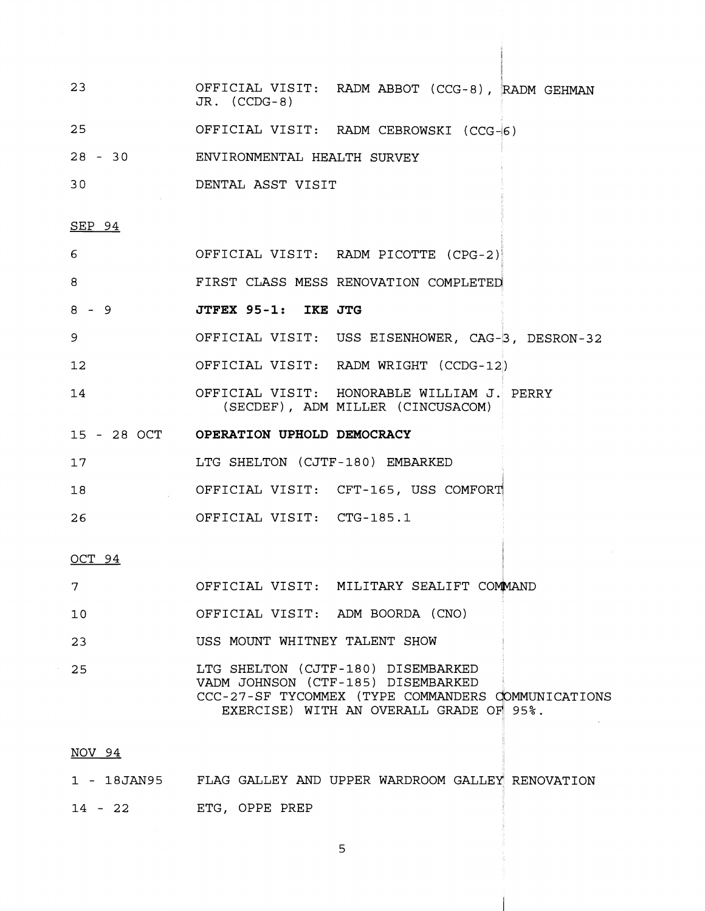OFFICIAL VISIT: RADM ABBOT (CCG-8), RADM GEHMAN 23 JR. (CCDG-8) 25 OFFICIAL VISIT: RADM CEBROWSKI (CCG-6)  $28 - 30$ ENVIRONMENTAL HEALTH SURVEY

 $30<sub>o</sub>$ DENTAL ASST VISIT

SEP 94

8 FIRST CLASS MESS RENOVATION COMPLETED

8 - 9 **JTFEX 95-1: IKE JTG** 

- 9 OFFICIAL VISIT: USS EISENHOWER, CAG-3, DESRON-32
- 12 OFFICIAL VISIT: RADM WRIGHT (CCDG-12)
- 14 OFFICIAL VISIT: HONORABLE WILLIAM J. PERRY (SECDEF) , ADM MILLER (CINCUSACOM)
- 15 28 OCT **OPERATION UPHOLD DEMOCRACY**
- 17 LTG SHELTON (CJTF-180) EMBARKED
- 18 OFFICIAL VISIT: CFT-165, USS COMFORT
- 26 OFFICIAL VISIT: CTG-185.1

OCT 94

- 7 OFFICIAL VISIT: MILITARY SEALIFT COMMAND
- 10 OFFICIAL VISIT: ADM BOORDA (CNO)
- 23 USS MOUNT WHITNEY TALENT SHOW
- 25 LTG SHELTON (CJTF-180) DISEMBARKED VADM JOHNSON (CTF-185) DISEMBARKED CCC-27-SF TYCOMMEX (TYPE COMMANDERS EXERCISE) WITH AN OVERALL GRADE 0

NOV 94

- 1 18JAN95 FLAG GALLEY AND UPPER WARDROOM GALLEY RENOVATION
- 14 22 ETG, OPPE PREP

5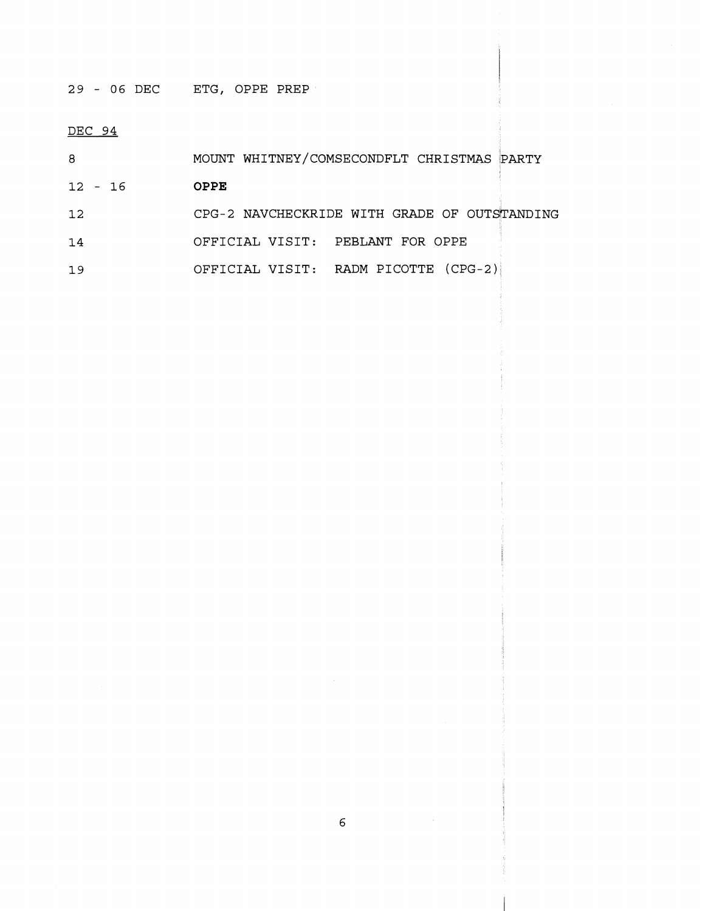# 29 - 06 DEC ETG, OPPE PREP

DEC 94

| -8        | MOUNT WHITNEY/COMSECONDFLT CHRISTMAS PARTY   |
|-----------|----------------------------------------------|
| $12 - 16$ | <b>OPPE</b>                                  |
| 12        | CPG-2 NAVCHECKRIDE WITH GRADE OF OUTSTANDING |
| 14        | OFFICIAL VISIT: PEBLANT FOR OPPE             |
| -19       | OFFICIAL VISIT: RADM PICOTTE (CPG-2)         |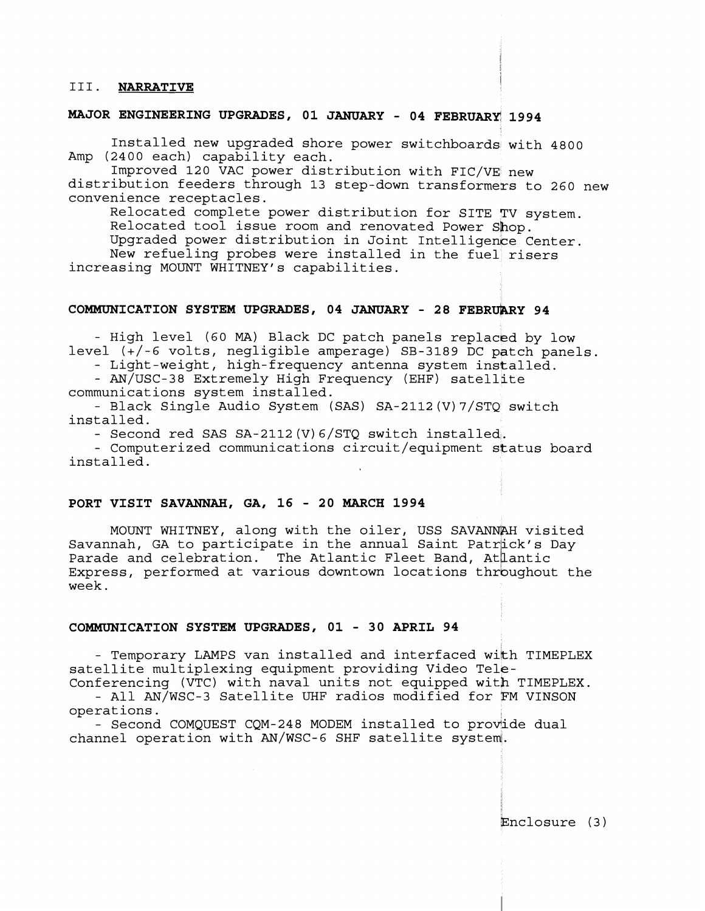## 111. **NARRATIVE**

## **MAJOR ENGINEERING UPGRADES, 01 JANUARY** - **04 FEBRUARY 1994**

Installed new upgraded shore power switchboards with 4800 Amp (2400 each) capability each.

Improved 120 VAC power distribution with FIC/VE new distribution feeders through 13 step-down transformers to 260 new convenience receptacles.

Relocated complete power distribution for SITE TV system. Relocated tool issue room and renovated Power shop.

Upgraded power distribution in Joint Intelligence Center. New refueling probes were installed in the fuel risers increasing MOUNT WHITNEY's capabilities.

## **COMMUNICATION SYSTEM UPGRADES, 04 JANUARY - 28 FEBRUARY 94**

- High level (60 MA) Black DC patch panels replaced by low

level (+/-6 volts, negligible amperage) SB-3189 DC patch panels.<br>- Light-weight, high-frequency antenna system installed.<br>- AN/USC-38 Extremely High Frequency (EHF) satellite<br>communications system installed.

- Black Single Audio System (SAS) SA-2112(V)7/STQ switch installed.

- Second red SAS SA-2112(V)6/STQ switch installed.<br>- Computerized communications circuit/equipment status board installed.

## **PORT VISIT SAVANNAH, GA, 16** - **20 MARCH 1994**

MOUNT WHITNEY, along with the oiler, USS SAVANNAH visited Savannah, GA to participate in the annual Saint Patrijck's Day Parade and celebration. The Atlantic Fleet Band, Atlantic Express, performed at various downtown locations throughout the week.

## **COMMUNICATION SYSTEM UPGRADES, 01** - **30 APRIL 94**

- Temporary LAMPS van installed and interfaced with TIMEPLEX satellite multiplexing equipment providing Video Tele-<br>Conferencing (VTC) with naval units not equipped with TIMEPLEX.

- All AN/WSC-3 Satellite UHF radios modified for FM VINSON operations. - Second COMQUEST CQM-248 MODEM installed to provide dual

channel operation with AN/wSC-6 SHF satellite systeml.

Enclosure *(3* )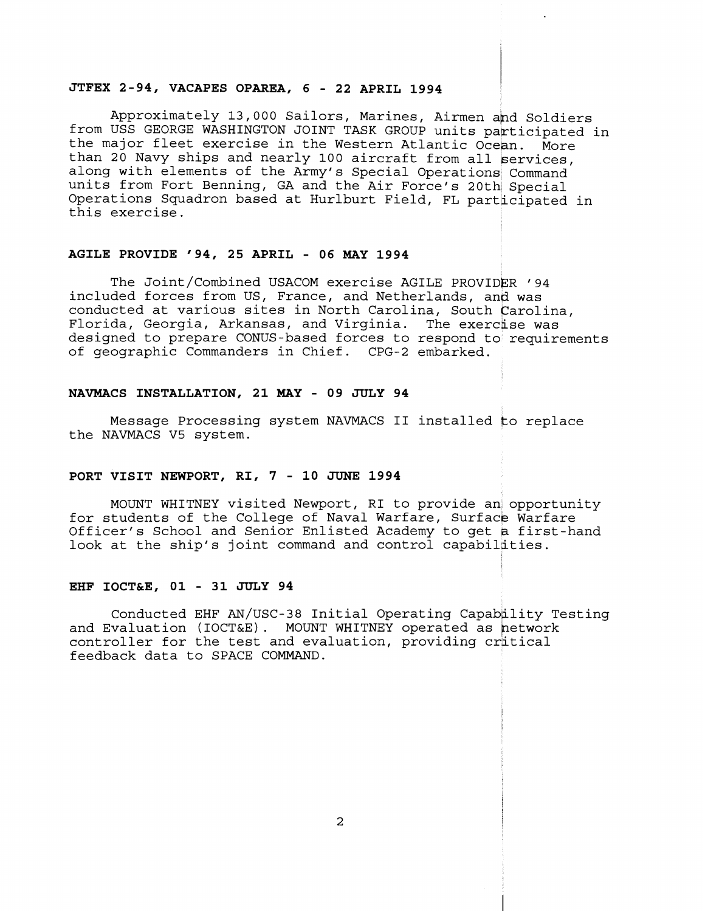## **JTFEX 2-94, VACAPES OPAREA, 6** - **22 APRIL 1994**

Approximately 13,000 Sailors, Marines, Airmen apd Soldiers from USS GEORGE WASHINGTON JOINT TASK GROUP units participated in the major fleet exercise in the Western Atlantic Ocean. More than 20 Navy ships and nearly 100 aircraft from all services, along with elements of the Army's Special Operations Command units from Fort Benning, GA and the Air Force's 20th Special Operations Squadron based at Hurlburt Field, FL participated in this exercise.

## **AGILE PROVIDE '94, 25 APRIL** - **06 MAY 1994**

The Joint/Combined USACOM exercise AGILE PROVIDER '94 included forces from US, France, and Netherlands, and was conducted at various sites in North Carolina, South Carolina, Florida, Georgia, Arkansas, and Virginia. The exerclse was designed to prepare CONUS-based forces to respond to requirements of geographic Commanders in Chief. CPG-2 embarked.

### **NAVMACS INSTALLATION, 21 MAY** - **09 JULY 94**

Message Processing system NAVMACS II installed to replace the NAVMACS V5 system.

#### **PORT VISIT NEWPORT, RI, 7** - **10 JUNE 1994**

MOUNT WHITNEY visited Newport, RI to provide an opportunity for students of the College of Naval Warfare, Surface Warfare Officer's School and Senior Enlisted Academy to get a first-hand look at the ship's joint command and control capabilities.

## **EHF IOCT&E, 01** - **31 JULY 94**

Conducted EHF AN/USC-38 Initial Operating Capability Testing and Evaluation (IOCT&E). MOUNT WHITNEY operated as hetwork controller for the test and evaluation, providing critical feedback data to SPACE COMMAND.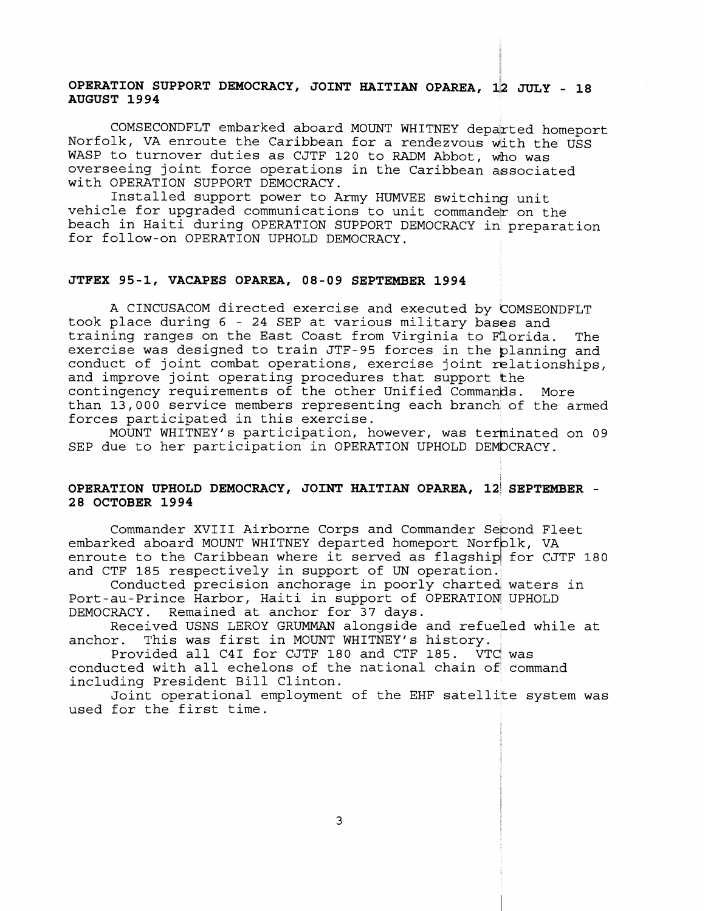## OPERATION SUPPORT DEMOCRACY, JOINT HAITIAN OPAREA, 12 JULY - 18 **AUGUST 1994**

COMSECONDFLT embarked aboard MOUNT WHITNEY depalrted homeport Norfolk, VA enroute the Caribbean for a rendezvous with the USS WASP to turnover duties as CJTF 120 to RADM Abbot, who was overseeing joint force operations in the Caribbean associated with OPERATION SUPPORT DEMOCRACY.

Installed support power to Army HUMVEE switching unit vehicle for upgraded communications to unit commander on the beach in Haiti during OPERATION SUPPORT DEMOCRACY in preparation for follow-on OPERATION UPHOLD DEMOCRACY.

#### **JTFEX 95-1, VACAPES OPAREA, 08-09 SEPTEMBER 1994**

A CINCUSACOM directed exercise and executed by COMSEONDFLT took place during **6** - 24 SEP at various military bases and training ranges on the East Coast from Virginia to Florida. The exercise was designed to train JTF-95 forces in the planning and conduct of joint combat operations, exercise joint relationships, and improve joint operating procedures that support the contingency requirements of the other Unified Commands. More than 13,000 service members representing each branch of the armed forces participated in this exercise.

MOUNT WHITNEY's participation, however, was terminated on 09 SEP due to her participation in OPERATION UPHOLD DEMOCRACY.

## **OPERATION UPHOLD DEMOCRACY, JOINT HAITIAN OPAREA, 12 SEPTEMBER** - **28 OCTOBER 1994**

Commander XVIII Airborne Corps and Commander Sekond Fleet embarked aboard MOUNT WHITNEY departed homeport Norfblk, VA enroute to the Caribbean where it served as flagship for CJTF 180 and CTF 185 respectively in support of UN operation.

Conducted precision anchorage in poorly charted waters in Port-au-Prince Harbor, Haiti in support of OPERATION UPHOLD DEMOCRACY. Remained at anchor for 37 days.

Received USNS LEROY GRUMMAN alongside and refueled while at anchor. This was first in MOUNT WHITNEY's history. This was first in MOUNT WHITNEY's history.

Provided all C41 for CJTF 180 and CTF 185. VTC/ was conducted with all echelons of the national chain of command including President Bill Clinton.

Joint operational employment of the EHF satellite system was used for the first time.